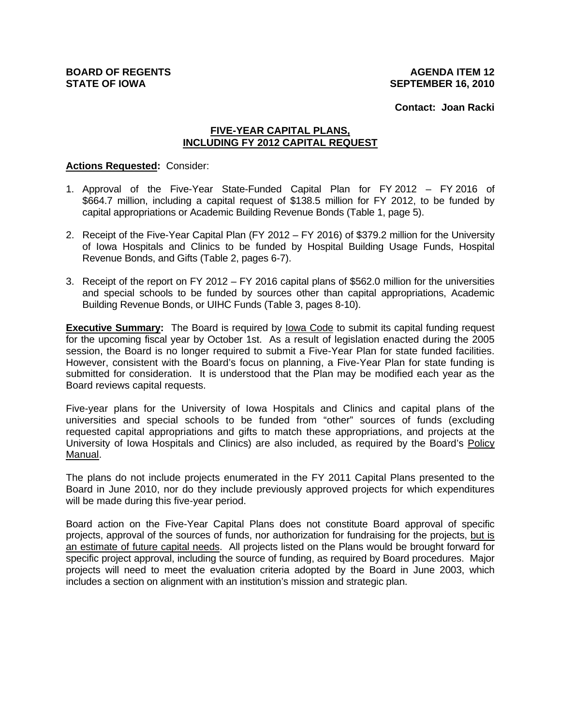**Contact: Joan Racki**

### **FIVE-YEAR CAPITAL PLANS, INCLUDING FY 2012 CAPITAL REQUEST**

#### **Actions Requested:** Consider:

- 1. Approval of the Five-Year State-Funded Capital Plan for FY 2012 FY 2016 of \$664.7 million, including a capital request of \$138.5 million for FY 2012, to be funded by capital appropriations or Academic Building Revenue Bonds (Table 1, page 5).
- 2. Receipt of the Five-Year Capital Plan (FY 2012 FY 2016) of \$379.2 million for the University of Iowa Hospitals and Clinics to be funded by Hospital Building Usage Funds, Hospital Revenue Bonds, and Gifts (Table 2, pages 6-7).
- 3. Receipt of the report on FY 2012 FY 2016 capital plans of \$562.0 million for the universities and special schools to be funded by sources other than capital appropriations, Academic Building Revenue Bonds, or UIHC Funds (Table 3, pages 8-10).

**Executive Summary:** The Board is required by Iowa Code to submit its capital funding request for the upcoming fiscal year by October 1st. As a result of legislation enacted during the 2005 session, the Board is no longer required to submit a Five-Year Plan for state funded facilities. However, consistent with the Board's focus on planning, a Five-Year Plan for state funding is submitted for consideration. It is understood that the Plan may be modified each year as the Board reviews capital requests.

Five-year plans for the University of Iowa Hospitals and Clinics and capital plans of the universities and special schools to be funded from "other" sources of funds (excluding requested capital appropriations and gifts to match these appropriations, and projects at the University of Iowa Hospitals and Clinics) are also included, as required by the Board's Policy Manual.

The plans do not include projects enumerated in the FY 2011 Capital Plans presented to the Board in June 2010, nor do they include previously approved projects for which expenditures will be made during this five-year period.

Board action on the Five-Year Capital Plans does not constitute Board approval of specific projects, approval of the sources of funds, nor authorization for fundraising for the projects, but is an estimate of future capital needs. All projects listed on the Plans would be brought forward for specific project approval, including the source of funding, as required by Board procedures. Major projects will need to meet the evaluation criteria adopted by the Board in June 2003, which includes a section on alignment with an institution's mission and strategic plan.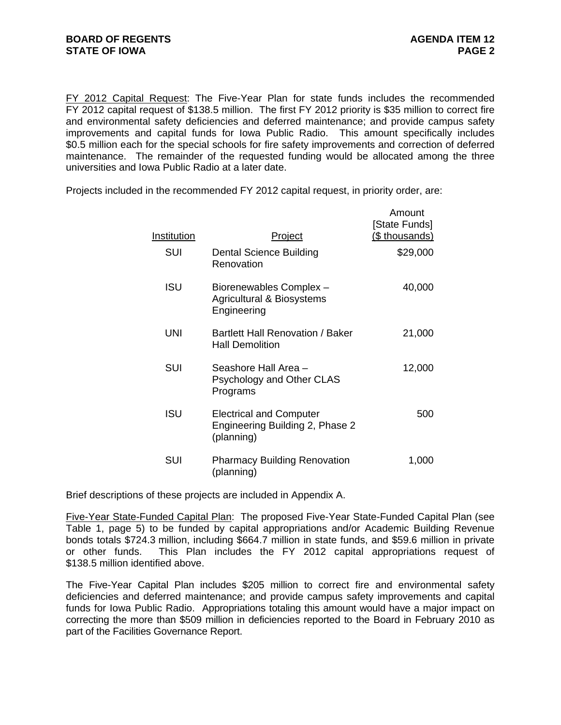FY 2012 Capital Request: The Five-Year Plan for state funds includes the recommended FY 2012 capital request of \$138.5 million. The first FY 2012 priority is \$35 million to correct fire and environmental safety deficiencies and deferred maintenance; and provide campus safety improvements and capital funds for Iowa Public Radio. This amount specifically includes \$0.5 million each for the special schools for fire safety improvements and correction of deferred maintenance. The remainder of the requested funding would be allocated among the three universities and Iowa Public Radio at a later date.

Projects included in the recommended FY 2012 capital request, in priority order, are:

| Institution | <u>Project</u>                                                                  | Amount<br>[State Funds]<br>(\$ thousands) |
|-------------|---------------------------------------------------------------------------------|-------------------------------------------|
| SUI         | <b>Dental Science Building</b><br>Renovation                                    | \$29,000                                  |
| <b>ISU</b>  | Biorenewables Complex -<br>Agricultural & Biosystems<br>Engineering             | 40,000                                    |
| UNI         | Bartlett Hall Renovation / Baker<br><b>Hall Demolition</b>                      | 21,000                                    |
| <b>SUI</b>  | Seashore Hall Area –<br>Psychology and Other CLAS<br>Programs                   | 12,000                                    |
| ISU         | <b>Electrical and Computer</b><br>Engineering Building 2, Phase 2<br>(planning) | 500                                       |
| SUI         | <b>Pharmacy Building Renovation</b><br>(planning)                               | 1,000                                     |

Brief descriptions of these projects are included in Appendix A.

Five-Year State-Funded Capital Plan: The proposed Five-Year State-Funded Capital Plan (see Table 1, page 5) to be funded by capital appropriations and/or Academic Building Revenue bonds totals \$724.3 million, including \$664.7 million in state funds, and \$59.6 million in private or other funds. This Plan includes the FY 2012 capital appropriations request of \$138.5 million identified above.

The Five-Year Capital Plan includes \$205 million to correct fire and environmental safety deficiencies and deferred maintenance; and provide campus safety improvements and capital funds for Iowa Public Radio. Appropriations totaling this amount would have a major impact on correcting the more than \$509 million in deficiencies reported to the Board in February 2010 as part of the Facilities Governance Report.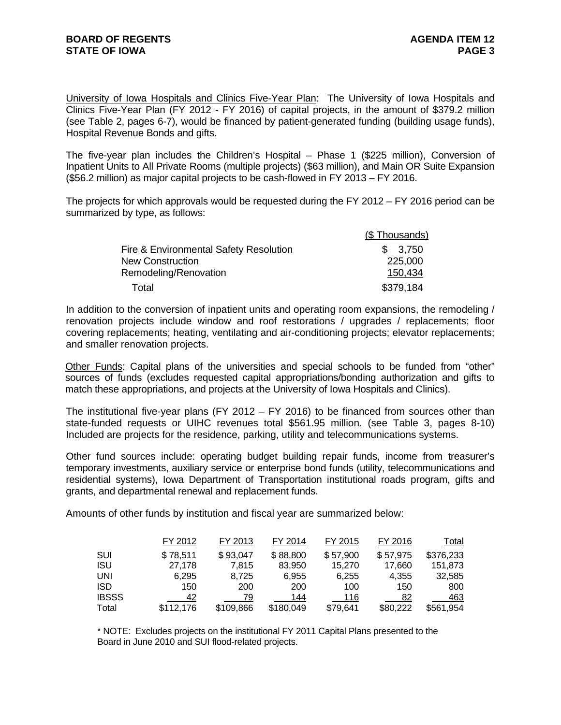University of Iowa Hospitals and Clinics Five-Year Plan: The University of Iowa Hospitals and Clinics Five-Year Plan (FY 2012 - FY 2016) of capital projects, in the amount of \$379.2 million (see Table 2, pages 6-7), would be financed by patient-generated funding (building usage funds), Hospital Revenue Bonds and gifts.

The five-year plan includes the Children's Hospital – Phase 1 (\$225 million), Conversion of Inpatient Units to All Private Rooms (multiple projects) (\$63 million), and Main OR Suite Expansion (\$56.2 million) as major capital projects to be cash-flowed in FY 2013 – FY 2016.

The projects for which approvals would be requested during the FY 2012 – FY 2016 period can be summarized by type, as follows:

|                                        | (\$Thousands) |
|----------------------------------------|---------------|
| Fire & Environmental Safety Resolution | \$3,750       |
| <b>New Construction</b>                | 225,000       |
| Remodeling/Renovation                  | 150,434       |
| Total                                  | \$379,184     |

In addition to the conversion of inpatient units and operating room expansions, the remodeling / renovation projects include window and roof restorations / upgrades / replacements; floor covering replacements; heating, ventilating and air-conditioning projects; elevator replacements; and smaller renovation projects.

Other Funds: Capital plans of the universities and special schools to be funded from "other" sources of funds (excludes requested capital appropriations/bonding authorization and gifts to match these appropriations, and projects at the University of Iowa Hospitals and Clinics).

The institutional five-year plans (FY 2012 – FY 2016) to be financed from sources other than state-funded requests or UIHC revenues total \$561.95 million. (see Table 3, pages 8-10) Included are projects for the residence, parking, utility and telecommunications systems.

Other fund sources include: operating budget building repair funds, income from treasurer's temporary investments, auxiliary service or enterprise bond funds (utility, telecommunications and residential systems), Iowa Department of Transportation institutional roads program, gifts and grants, and departmental renewal and replacement funds.

Amounts of other funds by institution and fiscal year are summarized below:

|              | FY 2012   | FY 2013   | FY 2014   | FY 2015  | FY 2016  | Total     |
|--------------|-----------|-----------|-----------|----------|----------|-----------|
| SUI          | \$78,511  | \$93,047  | \$88,800  | \$57,900 | \$57,975 | \$376,233 |
| <b>ISU</b>   | 27.178    | 7.815     | 83,950    | 15,270   | 17.660   | 151,873   |
| <b>UNI</b>   | 6.295     | 8.725     | 6,955     | 6,255    | 4.355    | 32,585    |
| <b>ISD</b>   | 150       | 200       | 200       | 100      | 150      | 800       |
| <b>IBSSS</b> | 42        | 79        | 144       | 116      | 82       | 463       |
| Total        | \$112,176 | \$109,866 | \$180,049 | \$79,641 | \$80,222 | \$561,954 |

\* NOTE: Excludes projects on the institutional FY 2011 Capital Plans presented to the Board in June 2010 and SUI flood-related projects.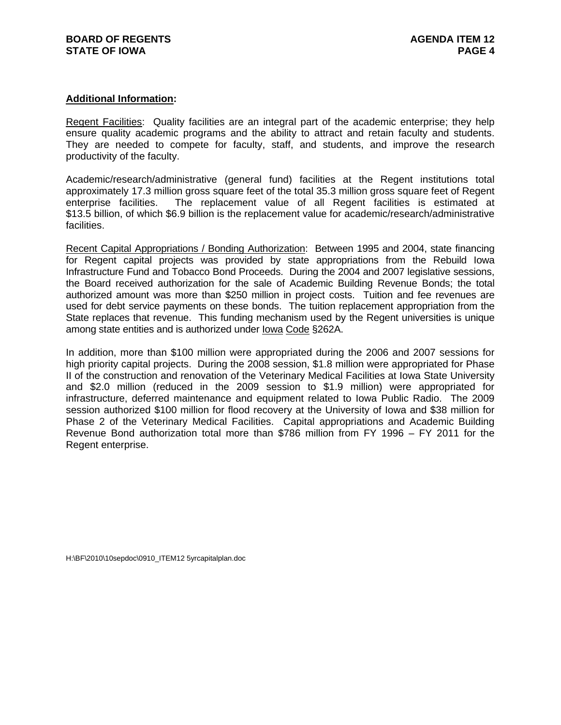#### **Additional Information:**

Regent Facilities:Quality facilities are an integral part of the academic enterprise; they help ensure quality academic programs and the ability to attract and retain faculty and students. They are needed to compete for faculty, staff, and students, and improve the research productivity of the faculty.

Academic/research/administrative (general fund) facilities at the Regent institutions total approximately 17.3 million gross square feet of the total 35.3 million gross square feet of Regent enterprise facilities. The replacement value of all Regent facilities is estimated at \$13.5 billion, of which \$6.9 billion is the replacement value for academic/research/administrative facilities.

Recent Capital Appropriations / Bonding Authorization: Between 1995 and 2004, state financing for Regent capital projects was provided by state appropriations from the Rebuild Iowa Infrastructure Fund and Tobacco Bond Proceeds. During the 2004 and 2007 legislative sessions, the Board received authorization for the sale of Academic Building Revenue Bonds; the total authorized amount was more than \$250 million in project costs. Tuition and fee revenues are used for debt service payments on these bonds. The tuition replacement appropriation from the State replaces that revenue. This funding mechanism used by the Regent universities is unique among state entities and is authorized under Iowa Code §262A.

In addition, more than \$100 million were appropriated during the 2006 and 2007 sessions for high priority capital projects. During the 2008 session, \$1.8 million were appropriated for Phase II of the construction and renovation of the Veterinary Medical Facilities at Iowa State University and \$2.0 million (reduced in the 2009 session to \$1.9 million) were appropriated for infrastructure, deferred maintenance and equipment related to Iowa Public Radio. The 2009 session authorized \$100 million for flood recovery at the University of Iowa and \$38 million for Phase 2 of the Veterinary Medical Facilities. Capital appropriations and Academic Building Revenue Bond authorization total more than \$786 million from FY 1996 – FY 2011 for the Regent enterprise.

H:\BF\2010\10sepdoc\0910\_ITEM12 5yrcapitalplan.doc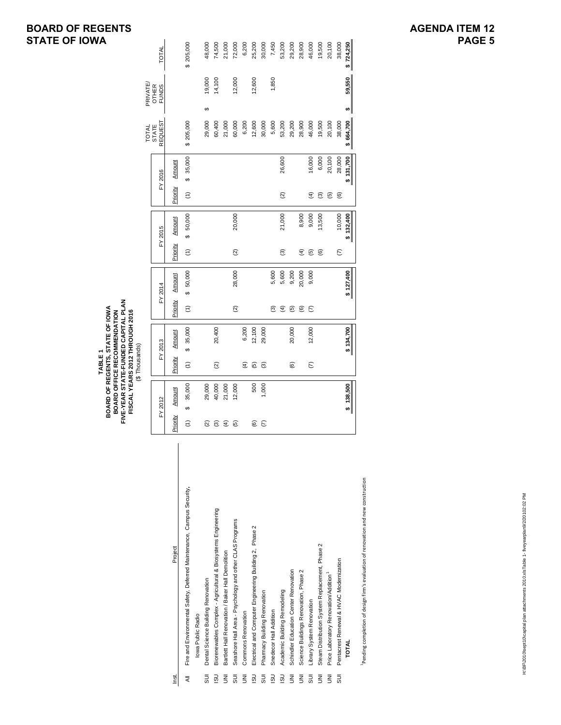# **BOARD OF REGENTS STATE OF IOWA**

|                |                                                                       |                         | FIVE-YEAR STATE-FUNDED CAPITAL PLAN<br>BOARD OF REGENTS, STATE OF IOWA<br>FISCAL YEARS 2012 THROUGH 2016<br>BOARD OFFICE RECOMMENDATION | (\$Thousands)<br>TABLE1          |               |                    |           |                    |           |                  |           |                                |                              |           | ΙA     |
|----------------|-----------------------------------------------------------------------|-------------------------|-----------------------------------------------------------------------------------------------------------------------------------------|----------------------------------|---------------|--------------------|-----------|--------------------|-----------|------------------|-----------|--------------------------------|------------------------------|-----------|--------|
|                |                                                                       |                         |                                                                                                                                         |                                  |               |                    |           |                    |           |                  |           | TOTAL                          | PRIVATE/                     |           |        |
|                |                                                                       |                         | FY 2012                                                                                                                                 | FY 2013                          |               | FY 2014            |           |                    | FY 2015   |                  | FY 2016   | <b>REQUEST</b><br><b>STATE</b> | <b>OTHER</b><br><b>FUNDS</b> | TOTAL     |        |
| rst            | Project                                                               | Priority                | Amount                                                                                                                                  | Priority                         | <b>Amount</b> | Priority           | Amount    | Priority           | Amount    | Priority         | Amount    |                                |                              |           |        |
| ₹              | Fire and Environmental Safety, Deferred Maintenance, Campus Security, | $\widehat{\epsilon}$    | 35,000<br>မာ                                                                                                                            | $\theta$<br>$\widehat{\epsilon}$ | 35,000        | $\widehat{\tau}$   | \$ 50,000 | $\widehat{E}$      | \$ 50,000 | $\widehat{\tau}$ | \$35,000  | \$205,000                      |                              | \$205,000 |        |
|                | Iowa Public Radio                                                     |                         |                                                                                                                                         |                                  |               |                    |           |                    |           |                  |           |                                |                              |           |        |
| 5U             | Dental Science Building Renovation                                    | ହ                       | 29,000                                                                                                                                  |                                  |               |                    |           |                    |           |                  |           | 29,000                         | 19,000<br>↔                  |           | 48,000 |
| <b>USI</b>     | Biorenewables Complex - Agricultural & Biosystems Engineering         | $\widehat{\mathcal{E}}$ | 40,000                                                                                                                                  | $\widehat{\infty}$               | 20,400        |                    |           |                    |           |                  |           | 60,400                         | 14,100                       |           | 74,500 |
| ξ              | Bartlett Hall Renovation / Baker Hall Demolition                      | $\widehat{f}$           | 21,000                                                                                                                                  |                                  |               |                    |           |                    |           |                  |           | 21,000                         |                              |           | 21,000 |
| 5UI            | Seashore Hall Area - Psychology and other CLAS Programs               | 6                       | 12,000                                                                                                                                  |                                  |               | $\widehat{\infty}$ | 28,000    | $\widehat{\infty}$ | 20,000    |                  |           | 60,000                         | 12,000                       |           | 72,000 |
| ξ              | Commons Renovation                                                    |                         |                                                                                                                                         | E                                | 6,200         |                    |           |                    |           |                  |           | 6,200                          |                              |           | 6,200  |
| <b>USI</b>     | Electrical and Computer Engineering Building 2, Phase 2               | ල)                      | 500                                                                                                                                     | তি                               | 12,100        |                    |           |                    |           |                  |           | 12,600                         | 12,600                       |           | 25,200 |
| SUI            | Pharmacy Building Renovation                                          | $\epsilon$              | 1,000                                                                                                                                   | ම                                | 29,000        |                    |           |                    |           |                  |           | 30,000                         |                              |           | 30,000 |
| <b>USI</b>     | Snedecor Hall Addition                                                |                         |                                                                                                                                         |                                  |               | <u>త</u>           | 5,600     |                    |           |                  |           | 5,600                          | 1,850                        |           | 7,450  |
| SU             | Academic Building Remodeling                                          |                         |                                                                                                                                         |                                  |               | $\widehat{f}$      | 5,600     | ම                  | 21,000    | $\widehat{a}$    | 26,600    | 53,200                         |                              |           | 53,200 |
| ξ              | Schindler Education Center Renovation                                 |                         |                                                                                                                                         | ම                                | 20,000        | 叵                  | 9,200     |                    |           |                  |           | 29,200                         |                              |           | 29,200 |
| ξ              | Science Buildings Renovation, Phase 2                                 |                         |                                                                                                                                         |                                  |               | ©                  | 20,000    | $\widehat{f}$      | 8,900     |                  |           | 28,900                         |                              |           | 28,900 |
| 5UI            | Library System Renovation                                             |                         |                                                                                                                                         | E                                | 12,000        | E                  | 9,000     | তি                 | 9,000     | E                | 16,000    | 46,000                         |                              |           | 46,000 |
| ξ              | Steam Distribution System Replacement, Phase 2                        |                         |                                                                                                                                         |                                  |               |                    |           | ම                  | 13,500    | ම                | 6,000     | 19,500                         |                              |           | 19,500 |
| ξ              | Price Laboratory Renovation/Addition                                  |                         |                                                                                                                                         |                                  |               |                    |           |                    |           | 6                | 20,100    | 20,100                         |                              |           | 20,100 |
| $\overline{5}$ | Pentacrest Renewal & HVAC Modernization                               |                         |                                                                                                                                         |                                  |               |                    |           | E                  | 10,000    | $\widehat{e}$    | 28,000    | 38,000                         |                              |           | 38,000 |
|                | <b>TOTAL</b>                                                          |                         | \$138,500                                                                                                                               |                                  | \$134,700     |                    | \$127,400 |                    | \$132,400 |                  | \$131,700 | \$664,700                      | 59,550<br>↮                  | \$724,250 |        |
|                |                                                                       |                         |                                                                                                                                         |                                  |               |                    |           |                    |           |                  |           |                                |                              |           |        |

Pending completion of design firm's evaluation of renovation and new construction 1Pending completion of design firm's evaluation of renovation and new construction

# **AGENDA ITEM 12 PAGE 5**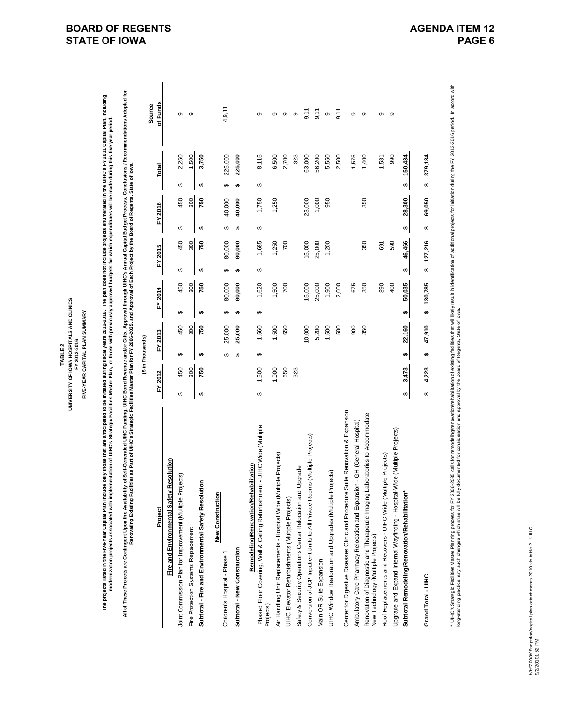UNIVERSITY OF IOWA HOSPITALS AND CLINICS **UNIVERSITY OF IOWA HOSPITALS AND CLINICS** FIVE-YEAR CAPITAL PLAN SUMMARY **FIVE-YEAR CAPITAL PLAN SUMMARY** FY 2012-2016 **FY 2012-2016** TABLE<sub>2</sub> **TABLE 2**

The projects listed in the Five-Year Capital Plan include only those that are anticipated to be initiated during fiscal years 2012-2016. The plan does not include projects enumerated in the UHC's FY 2011 Capital Plan, incl The projects listed in the Five-Year Capital Plan include only those that are anticipated to be initiated during fiscal years 2012-2016. The plan does not include projects enumerated in the UHC's FY 2011 Capital Plan, incl **modernization projects associated with implementation of UIHC's Strategic Facilities Master Plan, or those with previously approved budgets for which expenditures will be made during this five year period.**

All of These Projects are Contingent Upon the Availability of Self-Generated UHC Euridics, UHC Bond Revenue and/or Gifts, Approval through UHC's Amual Capital Budget Process, Conclusions / Recommendations Adopted for<br>Renov All of These Projects are Contingent Upon the Availability of Self-Generated UIHC Funding, UIHC Revenue and/or Gifts, Approval through UIHC's Annual Capital Budget Process, Conclusions / Recommendations Adopted for **Renovating Existing Facilities as Part of UIHC's Strategic Facilities Master Plan for FY 2006-2035, and Approval of Each Project by the Board of Regents, State of Iowa.**

|                                                                                                                         |   |         | (\$ in Thousands) |         |   |            |    |            |    |         |    |         |          |  |
|-------------------------------------------------------------------------------------------------------------------------|---|---------|-------------------|---------|---|------------|----|------------|----|---------|----|---------|----------|--|
|                                                                                                                         |   |         |                   |         |   |            |    |            |    |         |    |         | Source   |  |
| Project                                                                                                                 |   | FY 2012 |                   | FY 2013 |   | FY 2014    |    | FY 2015    |    | FY 2016 |    | Total   | of Funds |  |
| Resolution<br>Fire and Environmental Safety                                                                             |   |         |                   |         |   |            |    |            |    |         |    |         |          |  |
| Joint Commission Plan for Improvement (Multiple Projects)                                                               | ↮ | 450     | ↮                 | 450     | ↔ | 450        | ↔  | 450        | ↔  | 450     | ↮  | 2,250   | ၜ        |  |
| Fire Protection Systems Replacement                                                                                     |   | 300     |                   | 300     |   | 300        |    | 300        |    | 300     |    | 1,500   | တ        |  |
| Subtotal - Fire and Environmental Safety Resolution                                                                     | ₩ | 750     | ₩                 | 750     | ₩ | 750        | ₩  | 750        | ₩  | 750     | ₩  | 3,750   |          |  |
| New Construction                                                                                                        |   |         |                   |         |   |            |    |            |    |         |    |         |          |  |
| Children's Hospital - Phase 1                                                                                           |   |         | ↮                 | 25,000  | ↮ | 80,000     | ↮  | 80,000     | ↮  | 40,000  | ↮  | 225,000 | 4, 9, 11 |  |
| Subtotal - New Construction                                                                                             |   |         | tA)               | 25,000  | ₩ | 80,000     | ₩, | 80,000     | ₩, | 40,000  | ₩, | 225,000 |          |  |
| Remodeling/Renovation/Rehabilitation                                                                                    |   |         |                   |         |   |            |    |            |    |         |    |         |          |  |
| Phased Floor Covering, Wall & Ceiling Refurbishment - UIHC Wide (Multiple<br>Projects)                                  | ↮ | 1,500   | ↮                 | 1,560   | ↔ | 1,620      | ↮  | 1,685      | ↮  | 1,750   | ↮  | 8,115   | တ        |  |
| Air Handling Unit Replacements - Hospital Wide (Multiple Projects)                                                      |   | 000.    |                   | 1,500   |   | 1,500      |    | 1,250      |    | 1,250   |    | 6,500   | ၜ        |  |
| UIHC Elevator Refurbishments (Multiple Projects)                                                                        |   | 650     |                   | 650     |   | 700        |    | 700        |    |         |    | 2,700   | ၜ        |  |
| Upgrade<br>Safety & Security Operations Center Relocation and                                                           |   | 323     |                   |         |   |            |    |            |    |         |    | 323     | თ        |  |
| Conversion of JCP Inpatient Units to All Private Rooms (Multiple Projects)                                              |   |         |                   | 10,000  |   | 5,000      |    | 15,000     |    | 23,000  |    | 63,000  | 9,11     |  |
| Main OR Suite Expansion                                                                                                 |   |         |                   | 5,200   |   | 25,000     |    | 25,000     |    | 1,000   |    | 56,200  | 9,11     |  |
| UIHC Window Restoration and Upgrades (Multiple Projects)                                                                |   |         |                   | 1,500   |   | 1,900      |    | 1,200      |    | 950     |    | 5,550   | თ        |  |
|                                                                                                                         |   |         |                   | 500     |   | 2,000      |    |            |    |         |    | 2,500   | 9,11     |  |
| Suite Renovation & Expansion<br>Center for Digestive Diseases Clinic and Procedure                                      |   |         |                   | 900     |   | 675        |    |            |    |         |    | 1,575   | တ        |  |
| Ambulatory Care Pharmacy Relocation and Expansion - GH (General Hospital)                                               |   |         |                   |         |   |            |    |            |    |         |    |         |          |  |
| Laboratories to Accommodate<br>Renovation of Diagnostic and Therapeutic Imaging I<br>New Technology (Multiple Projects) |   |         |                   | 350     |   | 350        |    | 350        |    | 350     |    | 1,400   | တ        |  |
| Roof Replacements and Recovers - UIHC Wide (Multiple Projects)                                                          |   |         |                   |         |   | 890        |    | 691        |    |         |    | 1,581   | တ        |  |
| Upgrade and Expand Internal Wayfinding - Hospital-Wide (Multiple Projects)                                              |   |         |                   |         |   | 400        |    | 590        |    |         |    | 990     | တ        |  |
| Subtotal Remodeling/Renovation/Rehabilitation*                                                                          | ₩ | 3,473   | ₩                 | 22,160  | ↮ | 50,035     | ₩  | 46,466     | ₩  | 28,300  | ₩  | 150,434 |          |  |
| Grand Total - UIHC                                                                                                      | ₩ | 4,223   | ₩                 | 47,910  |   | \$ 130,785 |    | \$ 127,216 | ₩  | 69,050  | ₩  | 379,184 |          |  |

\* UHC's Strategic Facilities Master Planning process for FY 2006-2035 calls for emodeling/renovation/entorabilitation of existing facilities that will ikely result in identification of additional projects for initiation du \* UHC's Strategic Faculing process for FY 2006-2035 calls for remodeling/renovation/rehabilitation of existing facilities that will ikely result in identification of additional projects for initiation during the FY 2010 pe long-standing practice, any such changes which arise will be fully documented for consideration and approval by the Board of Regents, State of Iowa.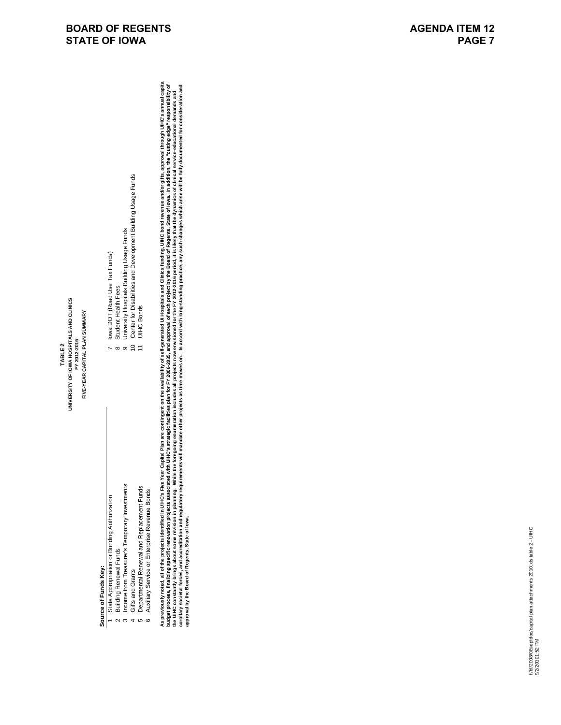# Source of Funds Key: **Source of Funds Key:**

- State Appropriation or Bonding Authorization 1 State Appropriation or Bonding Authorization Building Renewal Funds 2 Building Renewal Funds
	- Income from Treasurer's Temporary Investments 3 Income from Treasurer's Temporary Investments  $\sim$   $\sim$ 
		- Gifts and Grants  $\overline{a}$
- Departmental Renewal and Replacement Funds 5 Departmental Renewal and Replacement Funds Auxiliary Service or Enterprise Revenue Bonds 6 Auxiliary Service or Enterprise Revenue Bonds ს<br>ი
- 
- Center for Disabilities and Development Building Usage Funds<br>UIHC Bonds<br>UIHC Bonds 4 Gifts and Grants 10 Center for Disabilities and Development Building Usage Funds University Hospitals Building Usage Funds 9 University Hospitals Building Usage Funds  $-$

7 Iowa DOT (Road Use Tax Funds)

lowa DOT (Road Use Tax Funds)

8 Student Health Fees

Student Health Fees

11 UIHC Bonds

As previously noted, all of the projects identified in UIHC's Five Year Capital Plan are contingent on the availability of self-generated UI Hospitals and Clinics funding, UIHC bond revenue and/or gifts, approval through U As proviously noted, all of the projects identified in UIHC's Five Year Capital Plan are contingent on the availability of self-generated UI Hospitals and Clinics funding. UIHC bond revenue and/or gifts, approval through U budget process, finalizing specific renovation projects associated with UHC's strategic facilities plan for FY 2006-2035, and approval of each project by the Board of Regents, State of lowa. In addition, the "cutting edge" corollary societal forces, and regulatory requirements will mandate other projects as time moves on. In accord with long-standing practice, any such changes which arise will be fully documented for consideration and the UIHC constantly brings about some revision in planning. While the foregoing enumeration includes all projects now envisioned for the FY 2012-2016 period, it is likely that the dynamics of clinical service-educational d **approval by the Board of Regents, State of Iowa.**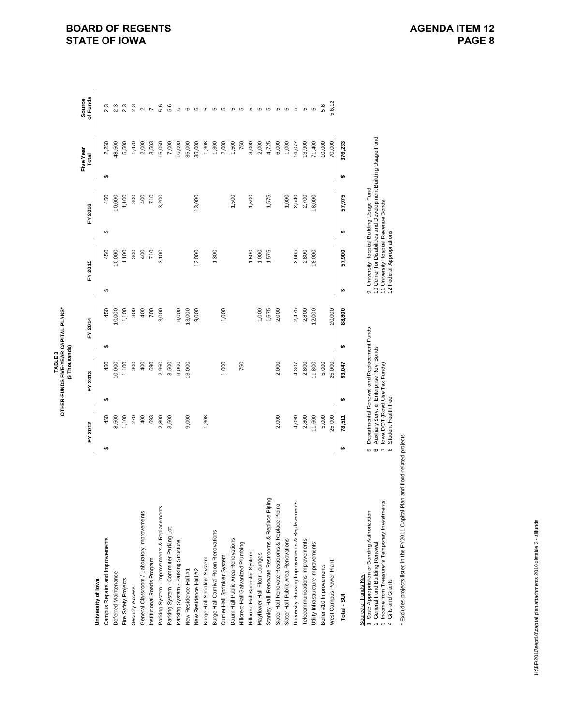|                                                                               |               |                                                     |   | OTHER-FUNDS FIVE-YEAR CAPITAL PLANS*<br>(\$Thousands)<br>TABLE <sub>3</sub>            |   |         |   |                                                                                                             |   |         |   |                    |                    |
|-------------------------------------------------------------------------------|---------------|-----------------------------------------------------|---|----------------------------------------------------------------------------------------|---|---------|---|-------------------------------------------------------------------------------------------------------------|---|---------|---|--------------------|--------------------|
|                                                                               |               | FY 2012                                             |   | FY 2013                                                                                |   | FY 2014 |   | FY 2015                                                                                                     |   | FY 2016 |   | Five Year<br>Total | of Funds<br>Source |
| University of lowa                                                            |               |                                                     |   |                                                                                        |   |         |   |                                                                                                             |   |         |   |                    |                    |
| Campus Repairs and Improvements                                               | ↔             | 450                                                 | ↔ | 450                                                                                    | ↮ | 450     | ↔ | 450                                                                                                         | ↔ | 450     | ↮ | 2,250              | 2,3                |
| Deferred Maintenance                                                          |               | 8,500                                               |   | 10,000                                                                                 |   | 10,000  |   | 10,000                                                                                                      |   | 10,000  |   | 48,500             | 2,3                |
| Fire Safety Projects                                                          |               | 1,100                                               |   | 1,100                                                                                  |   | 1,100   |   | 1,100                                                                                                       |   | 1,100   |   | 5,500              | 2,3                |
| Security Access                                                               |               | 270                                                 |   | 300                                                                                    |   | 300     |   | 300                                                                                                         |   | 300     |   | 1,470              | 2,3                |
| General Classroom / Laboratory Improvements                                   |               | 400                                                 |   | 400                                                                                    |   | 400     |   | 400                                                                                                         |   | 400     |   | 2,000              | $\sim$             |
| nstitutional Roads Program                                                    |               | 693                                                 |   | 690                                                                                    |   | 700     |   | 710                                                                                                         |   | 710     |   | 3,503              | $\overline{ }$     |
| Parking System - Improvements & Replacements                                  |               | 2,800                                               |   | 2,950                                                                                  |   | 3,000   |   | 3,100                                                                                                       |   | 3,200   |   | 15,050             | 5,6                |
| Parking System - Commuter Parking Lot                                         |               | 3,500                                               |   | 3,500                                                                                  |   |         |   |                                                                                                             |   |         |   | 7,000              | 5,6                |
| Parking System - Parking Structure                                            |               |                                                     |   | 8,000                                                                                  |   | 8,000   |   |                                                                                                             |   |         |   | 16,000             | $\circ$            |
| New Residence Hall #1                                                         |               | 9,000                                               |   | 13,000                                                                                 |   | 13,000  |   |                                                                                                             |   |         |   | 35,000             | $\circ$            |
| <b>New Residence Hall #2</b>                                                  |               |                                                     |   |                                                                                        |   | 9,000   |   | 13,000                                                                                                      |   | 13,000  |   | 35,000             | $\mathbf \Omega$   |
| Burge Hall Sprinkler System                                                   |               | 1,308                                               |   |                                                                                        |   |         |   |                                                                                                             |   |         |   | 1,308              | $\mathfrak{S}$     |
| Burge Hall Carnival Room Renovations                                          |               |                                                     |   |                                                                                        |   |         |   | 1,300                                                                                                       |   |         |   | 1,300              | 5                  |
| Currier Hall Sprinkler System                                                 |               |                                                     |   | 1,000                                                                                  |   | 1,000   |   |                                                                                                             |   |         |   | 2,000              | Б                  |
| Daum Hall Public Area Renovations                                             |               |                                                     |   |                                                                                        |   |         |   |                                                                                                             |   | 1,500   |   | 1,500              | 5                  |
| Hillcrest Hall Galvanized Plumbing                                            |               |                                                     |   | 750                                                                                    |   |         |   |                                                                                                             |   |         |   | 750                | 5                  |
| Hillcrest Hall Sprinkler System                                               |               |                                                     |   |                                                                                        |   |         |   | 1,500                                                                                                       |   | 1,500   |   | 3,000              | 5                  |
| Mayflower Hall Floor Lounges                                                  |               |                                                     |   |                                                                                        |   | 1,000   |   | 1,000                                                                                                       |   |         |   | 2,000              | 6 6 6 6            |
| Stanley Hall Renovate Restrooms & Replace Piping                              |               |                                                     |   |                                                                                        |   | 1,575   |   | 1,575                                                                                                       |   | 1,575   |   | 4,725              |                    |
| Slater Hall Renovate Restrooms & Replace Piping                               |               | 2,000                                               |   | 2,000                                                                                  |   | 2,000   |   |                                                                                                             |   |         |   | 6,000              |                    |
| Slater Hall Public Area Renovations                                           |               |                                                     |   |                                                                                        |   |         |   |                                                                                                             |   | 1,000   |   | 1,000              |                    |
| University Housing Improvements & Replacements                                |               | 4,090                                               |   | 4,307                                                                                  |   | 2,475   |   | 2,665                                                                                                       |   | 2,540   |   | 16,077             | 5                  |
| <b>Telecommunications Improvements</b>                                        |               | 2,800                                               |   | 2,800                                                                                  |   | 2,800   |   | 2,800                                                                                                       |   | 2,700   |   | 13,900             | စ                  |
| Utility Infrastructure Improvements                                           |               | 11,600                                              |   | 11,800                                                                                 |   | 12,000  |   | 18,000                                                                                                      |   | 18,000  |   | 71,400             | 5                  |
| Boiler #10 Improvements                                                       |               | 5,000                                               |   | 5,000                                                                                  |   |         |   |                                                                                                             |   |         |   | 10,000             | 5,6                |
| <b>Nest Campus Power Plant</b>                                                |               | 25,000                                              |   | 25,000                                                                                 |   | 20,000  |   |                                                                                                             |   |         |   | 70,000             | 5,6,12             |
| Total - SUI                                                                   | ₩             | 78,511                                              | ↮ | 93,047                                                                                 | ↮ | 88,800  | ↮ | 57,900                                                                                                      | ↮ | 57,975  | ₩ | 376,233            |                    |
| Source of Funds Key:                                                          |               |                                                     |   |                                                                                        |   |         |   |                                                                                                             |   |         |   |                    |                    |
| State Appropriation or Bonding Authorization<br>General Fund Building Renewal | 6 G           |                                                     |   | Departmental Renewal and Replacement Funds<br>Auxiliary Serv. or Enterprise Rev. Bonds |   |         |   | 10 Center for Disabilities and Development Building Usage Fund<br>9 University Hospital Building Usage Fund |   |         |   |                    |                    |
| 3 Income from Treasurer's Temporary Investments<br>Gifts and Grants           | $\sim \infty$ | lowa DOT (Road Use Tax Funds)<br>Student Health Fee |   |                                                                                        |   |         |   | 11 University Hospital Revenue Bonds<br>12 Federal Appropriations                                           |   |         |   |                    |                    |

\* Excludes projects listed in the FY2011 Capital Plan and flood-related projects \* Excludes projects listed in the FY2011 Capital Plan and flood-related projects

**BOARD OF REGENTS STATE OF IOWA**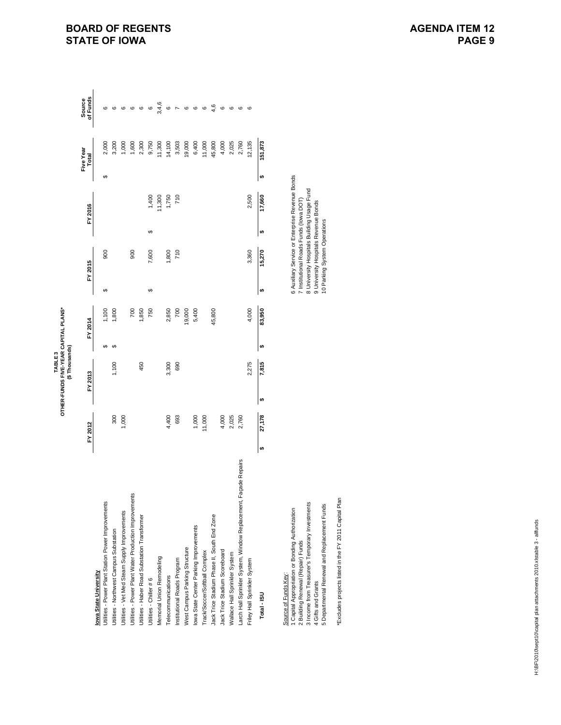|                                                                 |    |         |         | OTHER-FUNDS FIVE-YEAR CAPITAL PLANS*<br>(\$Thousands)<br>TABLE3 |    |         |          |         |    |         |    |                    |                           |
|-----------------------------------------------------------------|----|---------|---------|-----------------------------------------------------------------|----|---------|----------|---------|----|---------|----|--------------------|---------------------------|
|                                                                 |    | FY 2012 | FY 2013 |                                                                 |    | FY 2014 |          | FY 2015 |    | FY 2016 |    | Five Year<br>Total | of Funds<br><b>Source</b> |
| lowa State University                                           |    |         |         |                                                                 |    |         |          |         |    |         |    |                    |                           |
| Jtilities - Power Plant Station Power Improvements              |    |         |         |                                                                 |    | 1,100   | ↔        | 900     |    |         | ↔  | 2,000              |                           |
| Jtilities - Northwest Campus Substation                         |    | 300     |         | 1,100                                                           |    | 1,800   |          |         |    |         |    | 3,200              |                           |
| Jtilities - Vet Med Steam Supply Improvements                   |    | 1,000   |         |                                                                 |    |         |          |         |    |         |    | 1,000              |                           |
| Jtilities - Power Plant Water Production Improvements           |    |         |         |                                                                 |    | 700     |          | 900     |    |         |    | 1,600              | ဖ                         |
| Jtilities - Haber Road Substation Transformer                   |    |         |         | 450                                                             |    | 1,850   |          |         |    |         |    | 2,300              | ဖ                         |
| Utilities - Chiller #6                                          |    |         |         |                                                                 |    | 750     | $\theta$ | 7,600   | ↔  | 1,400   |    | 9,750              | ဖ                         |
| Memorial Union Remodeling                                       |    |         |         |                                                                 |    |         |          |         |    | 11,300  |    | 11,300             | 3,4,6                     |
| Telecommunications                                              |    | 4,400   |         | 3,300                                                           |    | 2,850   |          | 1,800   |    | 1,750   |    | 14,100             |                           |
| Institutional Roads Program                                     |    | 693     |         | 690                                                             |    | 700     |          | 710     |    | 710     |    | 3,503              |                           |
| West Campus Parking Structure                                   |    |         |         |                                                                 |    | 19,000  |          |         |    |         |    | 19,000             | $\circ$                   |
| Iowa State Center Parking Improvements                          |    | 1,000   |         |                                                                 |    | 5,400   |          |         |    |         |    | 6,400              | ဖ                         |
| Track/Soccer/Softball Complex                                   |    | 11,000  |         |                                                                 |    |         |          |         |    |         |    | 11,000             | ဖ                         |
| Jack Trice Stadium Phase II, South End Zone                     |    |         |         |                                                                 |    | 45,800  |          |         |    |         |    | 45,800             | 4,6                       |
| Jack Trice Stadium Scoreboard                                   |    | 4,000   |         |                                                                 |    |         |          |         |    |         |    | 4,000              | ဖ                         |
| Wallace Hall Sprinkler System                                   |    | 2,025   |         |                                                                 |    |         |          |         |    |         |    | 2,025              | ဖ                         |
| Larch Hall Sprinkler System, Window Replacement, Façade Repairs |    | 2,760   |         |                                                                 |    |         |          |         |    |         |    | 2,760              | ဖ                         |
| Friley Hall Sprinkler System                                    |    |         |         | 2,275                                                           |    | 4,000   |          | 3,360   |    | 2,500   |    | 12,135             | ဖ                         |
| Total - ISU                                                     | မာ | 27,178  |         | 7,815                                                           | ω, | 83,950  | ↮        | 15,270  | tA | 17,660  | မာ | 151,873            |                           |
|                                                                 |    |         |         |                                                                 |    |         |          |         |    |         |    |                    |                           |

1 Capital Appropriation or Bonding Authorization 6 Auxiliary Service or Enterprise Revenue Bonds 3 Income from Treasurer's Temporary Investments 8 University Hospitals Building Usage Fund 2 Building Renewal (Repair) Funds Funds (Iowa DOT) 7 Funds Funds 8 Applications Roads Funds (Iowa DOT) 7 Institutional Roads Funds (Iowa DOT) 4 Gifts and Grants 9 University Hospitals Revenue Bonds 3 Income from Treasurer's Temporary Investments 5 Departmental Renewal and Replacement Funds 5 Departmental Renewal and Replacement Funds <u>Source of Funds Kev</u><br>1 Capital Appropriation or Bonding Authorization<br>2 Building Renewal (Repair) Funds Source of Funds Key: 4 Gifts and Grants

\*Excludes projects listed in the FY 2011 Capital Plan \*Excludes projects listed in the FY 2011 Capital Plan

6 Auxiliary Service or Enterprise Revenue Bonds<br>7 Institutional Roads Funds (Iowa DOT) 8 University Hospitals Building Usage Fund<br>9 University Hospitals Revenue Bonds<br>10 Parking System Operations 10 Parking System Operations

# **BOARD OF REGENTS STATE OF IOWA**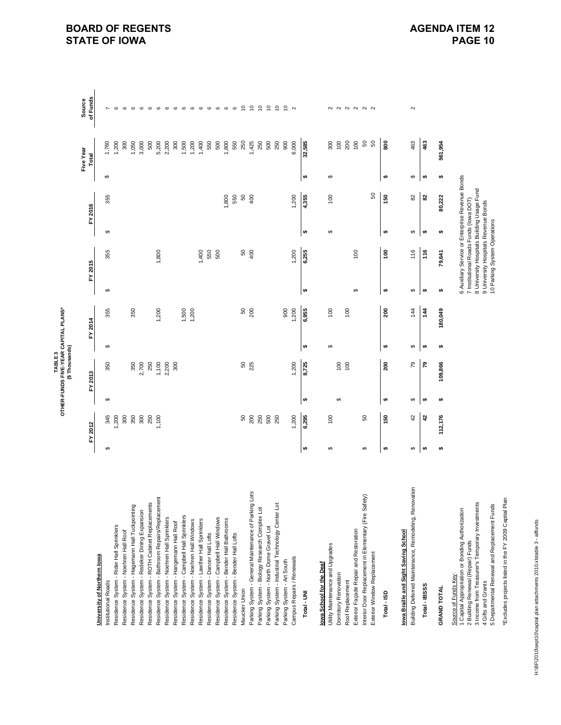TABLE 3<br>OTHER-FUNDS FIVE-YEAR CAPITAL PLANS\*<br>(\$ Thousands) **OTHER-FUNDS FIVE-YEAR CAPITAL PLANS\* (\$ Thousands) TABLE 3**

|                                                                                                               |    | FY 2012 |          | FY 2013 |    | FY 2014        |    | FY 2015                                |           | FY 2016                                         |    | Five Year<br>Total | of Funds<br>Source |
|---------------------------------------------------------------------------------------------------------------|----|---------|----------|---------|----|----------------|----|----------------------------------------|-----------|-------------------------------------------------|----|--------------------|--------------------|
| University of Northern Iowa                                                                                   |    |         |          |         |    |                |    |                                        |           |                                                 |    |                    |                    |
| Institutional Roads                                                                                           | ↮  | 345     | $\theta$ | 350     | ↮  | 355            | ↮  | 355                                    | ↮         | 355                                             | ↮  | 1,760              |                    |
| Residence System - Rider Hall Sprinklers                                                                      |    | 200     |          |         |    |                |    |                                        |           |                                                 |    | 1,200              |                    |
| Residence System - Noehren Hall Roof                                                                          |    | 300     |          |         |    |                |    |                                        |           |                                                 |    | 300                | G                  |
| Residence System - Hagemann Hall Tuckpointing                                                                 |    | 350     |          | 350     |    | 350            |    |                                        |           |                                                 |    | 1,050              | ဖ                  |
| Residence System - Redeker Dining Expansion                                                                   |    | 300     |          | 2,700   |    |                |    |                                        |           |                                                 |    | 3,000              | ဖ                  |
| Residence System - ROTH Cabinet Replacements                                                                  |    | 250     |          | 250     |    |                |    |                                        |           |                                                 |    | 500                | $\circ$            |
| Residence System - Bathroom Repairs/Replacement                                                               |    | 1,100   |          | 1,100   |    | 1,200          |    | 1,800                                  |           |                                                 |    | 5,200              | $\circ$            |
| Residence System - Noehren Hall Sprinklers                                                                    |    |         |          | 2,200   |    |                |    |                                        |           |                                                 |    | 2,200              | $\circ$            |
| Residence System - Hangemann Hall Roof                                                                        |    |         |          | 300     |    |                |    |                                        |           |                                                 |    | 300                | $\circ$            |
| Residence System - Campbell Hall Sprinklers                                                                   |    |         |          |         |    |                |    |                                        |           |                                                 |    | 1,500              | $\circ$            |
| Residence System - Noehren Hall Windows                                                                       |    |         |          |         |    | 1,500<br>1,200 |    |                                        |           |                                                 |    | 1,200              | $\circ$            |
| Residence System - Lawther Hall Sprinklers                                                                    |    |         |          |         |    |                |    | 1,400                                  |           |                                                 |    | 1,400              | $\circ$            |
| Residence System - Dancer Hall Lofts                                                                          |    |         |          |         |    |                |    | 550                                    |           |                                                 |    | 550                | $\circ$            |
| Residence System - Campbell Hall Windows                                                                      |    |         |          |         |    |                |    | 500                                    |           |                                                 |    | 500                | $\circ$            |
| Residence System - Bender Hall Bathrooms                                                                      |    |         |          |         |    |                |    |                                        |           | 1,800                                           |    | .800               | $\circ$            |
| Residence System - Bender Hall Lofts                                                                          |    |         |          |         |    |                |    |                                        |           | 550                                             |    | 550                | $\circ$            |
| Maucker Union                                                                                                 |    | 50      |          | 50      |    | 6              |    | 50                                     |           | $50\,$                                          |    | 250                | $\tilde{=}$        |
| Parking System - General Maintenance of Parking Lots                                                          |    | 200     |          | 225     |    | 200            |    | 400                                    |           | 400                                             |    | 1,425              | $\tilde{a}$        |
| Parking System - Biology Research Complex Lot                                                                 |    | 250     |          |         |    |                |    |                                        |           |                                                 |    | 250                | $\tilde{ }$        |
| Parking System - North Dome Gravel Lot                                                                        |    | 500     |          |         |    |                |    |                                        |           |                                                 |    | 500                | $\tilde{c}$        |
| Parking System - Industrial Technology Center Lot                                                             |    | 250     |          |         |    |                |    |                                        |           |                                                 |    | 250                | $\tilde{a}$        |
| Parking System - Art South                                                                                    |    |         |          |         |    | 900            |    |                                        |           |                                                 |    | 800                | $\tilde{ }$        |
| Campus Repairs / Renewals                                                                                     |    | 1,200   |          | 1,200   |    | 1,200          |    | 1,200                                  |           | 1,200                                           |    | 6,000              | $\sim$             |
| Total - UN                                                                                                    | ₩  | 6,295   | ₩        | 8,725   | ₩  | 6,955          | ₩  | 6,255                                  | $\bullet$ | 4,355                                           | ₩  | 32,585             |                    |
|                                                                                                               |    |         |          |         |    |                |    |                                        |           |                                                 |    |                    |                    |
| lowa School for the Deaf                                                                                      |    |         |          |         |    |                |    |                                        |           |                                                 |    |                    |                    |
| Utility Maintenance and Upgrades                                                                              | ↮  | 100     |          |         | ↮  | 100            |    |                                        | ↮         | 100                                             | ↮  | 300                |                    |
| Dormitory Renovation                                                                                          |    |         | ↮        | 100     |    |                |    |                                        |           |                                                 |    | 100                |                    |
| Roof Replacement                                                                                              |    |         |          | 100     |    | 100            |    |                                        |           |                                                 |    | 200                |                    |
| Exterior Façade Repair and Restoration                                                                        |    |         |          |         |    |                | ↮  | 100                                    |           |                                                 |    | $\overline{6}$     | 2 2 2 2 2 2 2      |
| Interior Door Replacement in Elementary (Fire Safety)                                                         | ↔  | 50      |          |         |    |                |    |                                        |           |                                                 |    | ${\tt S}0$         |                    |
| Exterior Window Replacement                                                                                   |    |         |          |         |    |                |    |                                        |           | 50                                              |    | 50                 |                    |
| Total - ISD                                                                                                   | €θ | មិ      | ↮        | នី      | €θ | នី             | ↮  | ទី                                     | ↮         | 50                                              | ↮  | ខ្លួ               |                    |
| lowa Braille and Sight Saving School                                                                          |    |         |          |         |    |                |    |                                        |           |                                                 |    |                    |                    |
| Building Deferred Maintenance, Remodeling, Renovation                                                         | ↮  | 42      | ↔        | 79      | ↮  | 14             | ↮  | 116                                    | ↮         | 82                                              | ↮  | 463                | $\mathbf{\Omega}$  |
| Total - IBSSS                                                                                                 | €θ | ą       | ↮        | 54      | ِ⇔ | $\frac{1}{4}$  | ِ⇔ | 116                                    | ِ⇔        | ప                                               | €θ | 463                |                    |
| <b>GRAND TOTAL</b>                                                                                            | ↮  | 112,176 | ↮        | 109,866 | ₩  | 180,049        | ↮  | 79,641                                 | ↮         | 80,222                                          | ↮  | 561,954            |                    |
| 1 Capital Appropriation or Bonding Authorization<br>2 Building Renewal (Repair) Funds<br>Source of Funds Key: |    |         |          |         |    |                |    | 7 Institutional Roads Funds (lowa DOT) |           | 6 Auxiliary Service or Enterprise Revenue Bonds |    |                    |                    |
| 3 Income from Treasurer's Temporary Investments<br>4 Gifts and Grants                                         |    |         |          |         |    |                |    | 9 University Hospitals Revenue Bonds   |           | 8 University Hospitals Building Usage Fund      |    |                    |                    |
| 5 Departmental Renewal and Replacement Funds                                                                  |    |         |          |         |    |                |    | 10 Parking System Operations           |           |                                                 |    |                    |                    |

\*Excludes projects listed in the FY 2009 Capital Plan

\*Excludes projects listed in the FY 2009 Capital Plan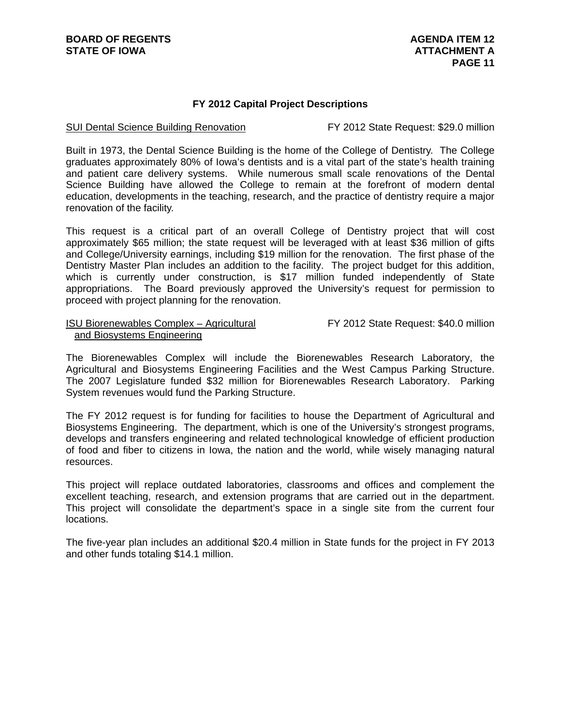#### **FY 2012 Capital Project Descriptions**

#### SUI Dental Science Building Renovation FY 2012 State Request: \$29.0 million

Built in 1973, the Dental Science Building is the home of the College of Dentistry. The College graduates approximately 80% of Iowa's dentists and is a vital part of the state's health training and patient care delivery systems. While numerous small scale renovations of the Dental Science Building have allowed the College to remain at the forefront of modern dental education, developments in the teaching, research, and the practice of dentistry require a major renovation of the facility.

This request is a critical part of an overall College of Dentistry project that will cost approximately \$65 million; the state request will be leveraged with at least \$36 million of gifts and College/University earnings, including \$19 million for the renovation. The first phase of the Dentistry Master Plan includes an addition to the facility. The project budget for this addition, which is currently under construction, is \$17 million funded independently of State appropriations. The Board previously approved the University's request for permission to proceed with project planning for the renovation.

#### ISU Biorenewables Complex – Agricultural FY 2012 State Request: \$40.0 million and Biosystems Engineering

The Biorenewables Complex will include the Biorenewables Research Laboratory, the Agricultural and Biosystems Engineering Facilities and the West Campus Parking Structure. The 2007 Legislature funded \$32 million for Biorenewables Research Laboratory. Parking System revenues would fund the Parking Structure.

The FY 2012 request is for funding for facilities to house the Department of Agricultural and Biosystems Engineering. The department, which is one of the University's strongest programs, develops and transfers engineering and related technological knowledge of efficient production of food and fiber to citizens in Iowa, the nation and the world, while wisely managing natural resources.

This project will replace outdated laboratories, classrooms and offices and complement the excellent teaching, research, and extension programs that are carried out in the department. This project will consolidate the department's space in a single site from the current four locations.

The five-year plan includes an additional \$20.4 million in State funds for the project in FY 2013 and other funds totaling \$14.1 million.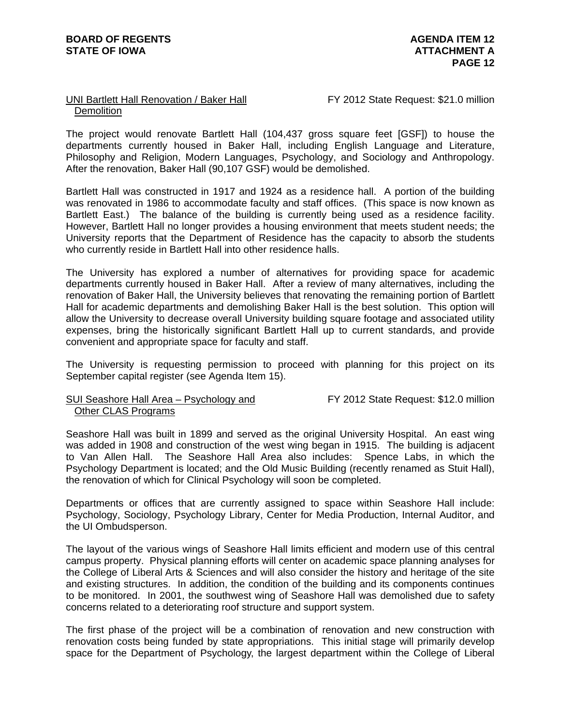#### UNI Bartlett Hall Renovation / Baker Hall FY 2012 State Request: \$21.0 million Demolition

The project would renovate Bartlett Hall (104,437 gross square feet [GSF]) to house the departments currently housed in Baker Hall, including English Language and Literature, Philosophy and Religion, Modern Languages, Psychology, and Sociology and Anthropology. After the renovation, Baker Hall (90,107 GSF) would be demolished.

Bartlett Hall was constructed in 1917 and 1924 as a residence hall. A portion of the building was renovated in 1986 to accommodate faculty and staff offices. (This space is now known as Bartlett East.) The balance of the building is currently being used as a residence facility. However, Bartlett Hall no longer provides a housing environment that meets student needs; the University reports that the Department of Residence has the capacity to absorb the students who currently reside in Bartlett Hall into other residence halls.

The University has explored a number of alternatives for providing space for academic departments currently housed in Baker Hall. After a review of many alternatives, including the renovation of Baker Hall, the University believes that renovating the remaining portion of Bartlett Hall for academic departments and demolishing Baker Hall is the best solution. This option will allow the University to decrease overall University building square footage and associated utility expenses, bring the historically significant Bartlett Hall up to current standards, and provide convenient and appropriate space for faculty and staff.

The University is requesting permission to proceed with planning for this project on its September capital register (see Agenda Item 15).

#### SUI Seashore Hall Area – Psychology and FY 2012 State Request: \$12.0 million Other CLAS Programs

Seashore Hall was built in 1899 and served as the original University Hospital. An east wing was added in 1908 and construction of the west wing began in 1915. The building is adjacent to Van Allen Hall. The Seashore Hall Area also includes: Spence Labs, in which the Psychology Department is located; and the Old Music Building (recently renamed as Stuit Hall), the renovation of which for Clinical Psychology will soon be completed.

Departments or offices that are currently assigned to space within Seashore Hall include: Psychology, Sociology, Psychology Library, Center for Media Production, Internal Auditor, and the UI Ombudsperson.

The layout of the various wings of Seashore Hall limits efficient and modern use of this central campus property. Physical planning efforts will center on academic space planning analyses for the College of Liberal Arts & Sciences and will also consider the history and heritage of the site and existing structures. In addition, the condition of the building and its components continues to be monitored. In 2001, the southwest wing of Seashore Hall was demolished due to safety concerns related to a deteriorating roof structure and support system.

The first phase of the project will be a combination of renovation and new construction with renovation costs being funded by state appropriations. This initial stage will primarily develop space for the Department of Psychology, the largest department within the College of Liberal